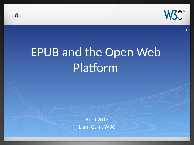

# EPUB and the Open Web Platform

ñ

April 2017 Liam Quin, W3C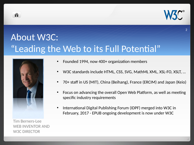

## About W3C: "Leading the Web to its Full Potential"



ñ

Tim Berners-Lee WEB INVENTOR AND W3C DIRECTOR

- Founded 1994, now 400+ organization members
- W3C standards include HTML, CSS, SVG, MathML XML, XSL-FO, XSLT, …
- 70+ staff in US (MIT), China (Beihang), France (ERCIM) and Japan (Keio)
- Focus on advancing the overall Open Web Platform, as well as meeting specific industry requirements
- International Digital Publishing Forum (IDPF) merged into W3C in February, 2017 - EPUB ongoing development is now under W3C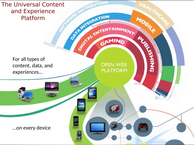The Universal Content<br>and Experience<br>Platform and Experience Platform

For all types of content, data, and experiences…

mutan pun

H

Ę

**OPEN WEB PLATFORM** 

67

HEAL

MOGILE

**PASSING** 

- 3

ITION

OFFITEGRA I. GAMING

…on every device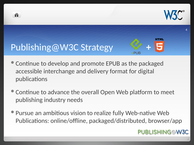



ñ



- Continue to develop and promote EPUB as the packaged accessible interchange and delivery format for digital publications
- Continue to advance the overall Open Web platform to meet publishing industry needs
- Pursue an ambitious vision to realize fully Web-native Web Publications: online/offline, packaged/distributed, browser/app

#### **PUBLISHING@W3C**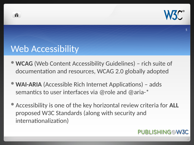

#### Web Accessibility

- **WCAG** (Web Content Accessibility Guidelines) rich suite of documentation and resources, WCAG 2.0 globally adopted
- **WAI-ARIA** (Accessible Rich Internet Applications) adds semantics to user interfaces via @role and @aria-\*
- Accessibility is one of the key horizontal review criteria for **ALL** proposed W3C Standards (along with security and internationalization)

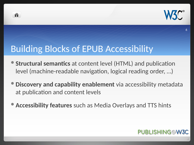

#### Building Blocks of EPUB Accessibility

- **Structural semantics** at content level (HTML) and publication level (machine-readable navigation, logical reading order, …)
- **Discovery and capability enablement** via accessibility metadata at publication and content levels
- **Accessibility features** such as Media Overlays and TTS hints

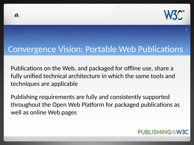

#### Convergence Vision: Portable Web Publications

ñ

Publications on the Web, and packaged for offline use, share a fully unified technical architecture in which the same tools and techniques are applicable

Publishing requirements are fully and consistently supported throughout the Open Web Platform for packaged publications as well as online Web pages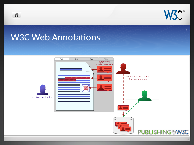

#### W3C Web Annotations

音

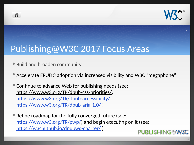

#### Publishing@W3C 2017 Focus Areas

Build and broaden community

- Accelerate EPUB 3 adoption via increased visibility and W3C "megaphone"
- Continue to advance Web for publishing needs (see: [https://www.w3.org/TR/dpub-css-priorities/,](https://www.w3.org/TR/dpub-css-priorities/) <https://www.w3.org/TR/dpub-accessibility/>, <https://www.w3.org/TR/dpub-aria-1.0/>)
- Refine roadmap for the fully converged future (see: [https://www.w3.org/TR/pwp/\)](https://www.w3.org/TR/pwp/) and begin executing on it (see: <https://w3c.github.io/dpubwg-charter/>) PUBLISHING@W3C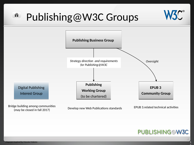#### 作 Publishing@W3C Groups





 $\sum_{i=1}^{n}$ 

 $\sim$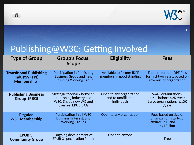



### Publishing@W3C: Getting Involved

| <b>Type of Group</b>                                                         | <b>Group's Focus,</b><br><b>Scope</b>                                                               | <b>Eligibility</b>                                             | <b>Fees</b>                                                                             |
|------------------------------------------------------------------------------|-----------------------------------------------------------------------------------------------------|----------------------------------------------------------------|-----------------------------------------------------------------------------------------|
| <b>Transitional Publishing</b><br><b>Industry (TPI)</b><br><b>Membership</b> | Participation in Publishing<br><b>Business Group and new</b><br><b>Publishing Working Group</b>     | Available to former IDPF<br>members in good standing           | Equal to former IDPF fees<br>for first two years, based on<br>revenue of organization   |
| <b>Publishing Business</b><br><b>Group (PBG)</b>                             | Strategic feedback between<br>publishing industry and<br>W3C. Shape new WG and<br>oversee EPUB 3 CG | Open to any organization<br>and to unaffiliated<br>individuals | Small organizations,<br>associations: \$2K /year<br>Large organizations: \$10K<br>/year |
| <b>Regular</b><br><b>W3C Membership</b>                                      | Participation in all W3C<br>Business, Interest, and<br><b>Working Groups</b>                        | Open to any organization                                       | Fees based on size of<br>organization: start-up,<br>affiliate, full and<br>>\$1Billion  |
| <b>EPUB3</b><br><b>Community Group</b>                                       | Ongoing development of<br><b>EPUB 3 specification family</b>                                        | Open to anyone                                                 | Free                                                                                    |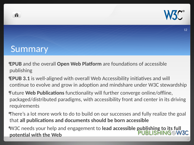

#### Summary

- **EPUB** and the overall **Open Web Platform** are foundations of accessible publishing
- **EPUB 3.1** is well-aligned with overall Web Accessibility initiatives and will continue to evolve and grow in adoption and mindshare under W3C stewardship
- Future **Web Publications** functionality will further converge online/offline, packaged/distributed paradigms, with accessibility front and center in its driving requirements
- There's a lot more work to do to build on our successes and fully realize the goal that **all publications and documents should be born accessible**
- W3C needs your help and engagement to **lead accessible publishing to its full PUBLISHING@W3C potential with the Web**